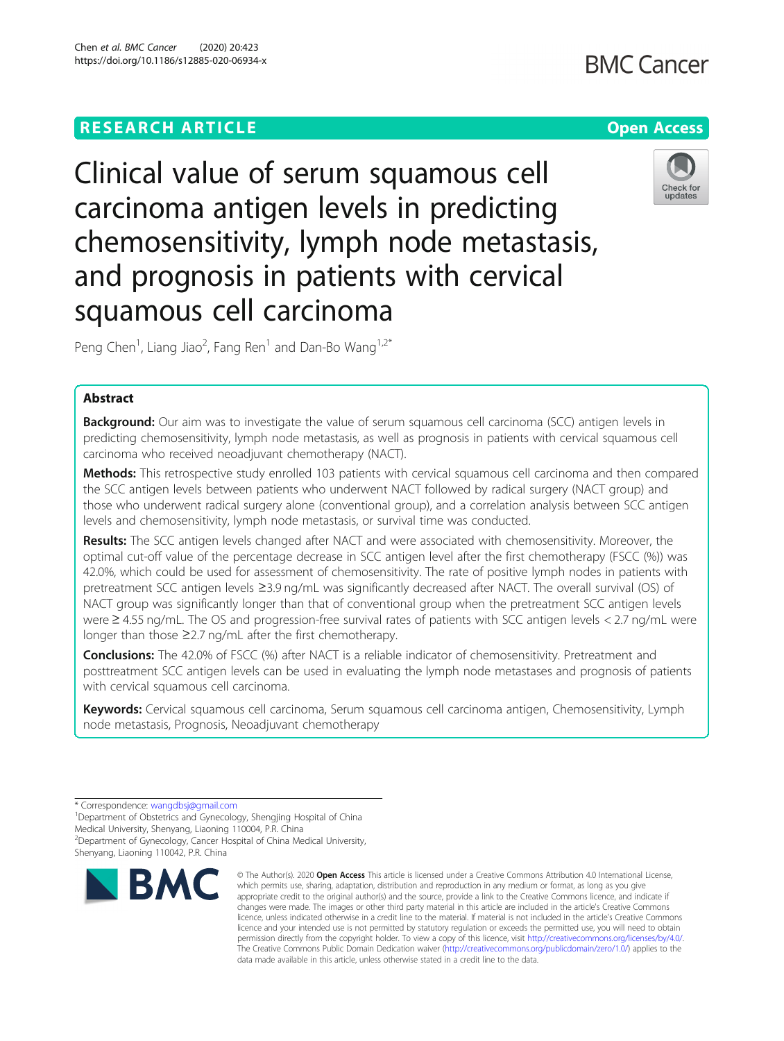## **RESEARCH ARTICLE Example 2014 12:30 The Contract of Contract ACCESS**

Clinical value of serum squamous cell carcinoma antigen levels in predicting chemosensitivity, lymph node metastasis, and prognosis in patients with cervical squamous cell carcinoma

Peng Chen<sup>1</sup>, Liang Jiao<sup>2</sup>, Fang Ren<sup>1</sup> and Dan-Bo Wang<sup>1,2\*</sup>

## Abstract

**Background:** Our aim was to investigate the value of serum squamous cell carcinoma (SCC) antigen levels in predicting chemosensitivity, lymph node metastasis, as well as prognosis in patients with cervical squamous cell carcinoma who received neoadjuvant chemotherapy (NACT).

Methods: This retrospective study enrolled 103 patients with cervical squamous cell carcinoma and then compared the SCC antigen levels between patients who underwent NACT followed by radical surgery (NACT group) and those who underwent radical surgery alone (conventional group), and a correlation analysis between SCC antigen levels and chemosensitivity, lymph node metastasis, or survival time was conducted.

Results: The SCC antigen levels changed after NACT and were associated with chemosensitivity. Moreover, the optimal cut-off value of the percentage decrease in SCC antigen level after the first chemotherapy (FSCC (%)) was 42.0%, which could be used for assessment of chemosensitivity. The rate of positive lymph nodes in patients with pretreatment SCC antigen levels ≥3.9 ng/mL was significantly decreased after NACT. The overall survival (OS) of NACT group was significantly longer than that of conventional group when the pretreatment SCC antigen levels were ≥ 4.55 ng/mL. The OS and progression-free survival rates of patients with SCC antigen levels < 2.7 ng/mL were longer than those ≥2.7 ng/mL after the first chemotherapy.

Conclusions: The 42.0% of FSCC (%) after NACT is a reliable indicator of chemosensitivity. Pretreatment and posttreatment SCC antigen levels can be used in evaluating the lymph node metastases and prognosis of patients with cervical squamous cell carcinoma.

Keywords: Cervical squamous cell carcinoma, Serum squamous cell carcinoma antigen, Chemosensitivity, Lymph node metastasis, Prognosis, Neoadjuvant chemotherapy

© The Author(s), 2020 **Open Access** This article is licensed under a Creative Commons Attribution 4.0 International License, which permits use, sharing, adaptation, distribution and reproduction in any medium or format, as long as you give appropriate credit to the original author(s) and the source, provide a link to the Creative Commons licence, and indicate if



# **BMC Cancer**



<sup>\*</sup> Correspondence: [wangdbsj@gmail.com](mailto:wangdbsj@gmail.com) <sup>1</sup>

<sup>&</sup>lt;sup>1</sup>Department of Obstetrics and Gynecology, Shengjing Hospital of China Medical University, Shenyang, Liaoning 110004, P.R. China 2 Department of Gynecology, Cancer Hospital of China Medical University, Shenyang, Liaoning 110042, P.R. China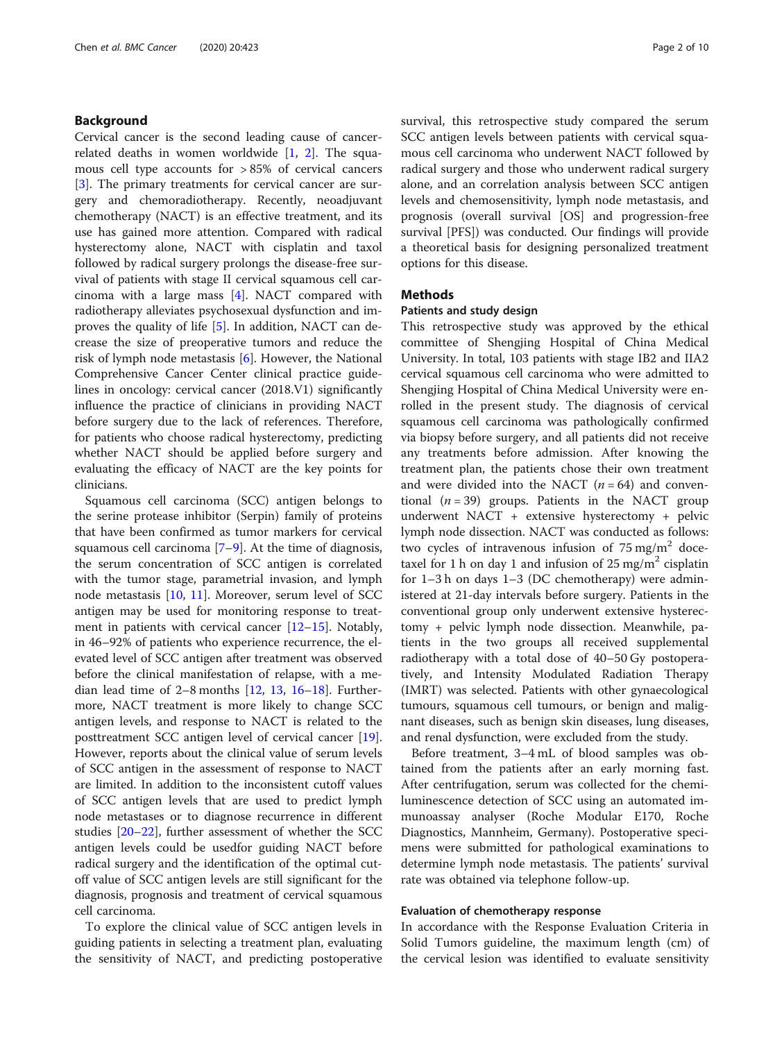## Background

Cervical cancer is the second leading cause of cancerrelated deaths in women worldwide  $[1, 2]$  $[1, 2]$  $[1, 2]$  $[1, 2]$ . The squamous cell type accounts for > 85% of cervical cancers [[3\]](#page-8-0). The primary treatments for cervical cancer are surgery and chemoradiotherapy. Recently, neoadjuvant chemotherapy (NACT) is an effective treatment, and its use has gained more attention. Compared with radical hysterectomy alone, NACT with cisplatin and taxol followed by radical surgery prolongs the disease-free survival of patients with stage II cervical squamous cell carcinoma with a large mass [\[4](#page-8-0)]. NACT compared with radiotherapy alleviates psychosexual dysfunction and improves the quality of life [\[5](#page-8-0)]. In addition, NACT can decrease the size of preoperative tumors and reduce the risk of lymph node metastasis [[6\]](#page-8-0). However, the National Comprehensive Cancer Center clinical practice guidelines in oncology: cervical cancer (2018.V1) significantly influence the practice of clinicians in providing NACT before surgery due to the lack of references. Therefore, for patients who choose radical hysterectomy, predicting whether NACT should be applied before surgery and evaluating the efficacy of NACT are the key points for clinicians.

Squamous cell carcinoma (SCC) antigen belongs to the serine protease inhibitor (Serpin) family of proteins that have been confirmed as tumor markers for cervical squamous cell carcinoma  $[7-9]$  $[7-9]$  $[7-9]$ . At the time of diagnosis, the serum concentration of SCC antigen is correlated with the tumor stage, parametrial invasion, and lymph node metastasis [\[10,](#page-8-0) [11\]](#page-8-0). Moreover, serum level of SCC antigen may be used for monitoring response to treatment in patients with cervical cancer  $[12-15]$  $[12-15]$  $[12-15]$ . Notably, in 46–92% of patients who experience recurrence, the elevated level of SCC antigen after treatment was observed before the clinical manifestation of relapse, with a median lead time of  $2-8$  months  $[12, 13, 16-18]$  $[12, 13, 16-18]$  $[12, 13, 16-18]$  $[12, 13, 16-18]$  $[12, 13, 16-18]$  $[12, 13, 16-18]$  $[12, 13, 16-18]$ . Furthermore, NACT treatment is more likely to change SCC antigen levels, and response to NACT is related to the posttreatment SCC antigen level of cervical cancer [\[19](#page-8-0)]. However, reports about the clinical value of serum levels of SCC antigen in the assessment of response to NACT are limited. In addition to the inconsistent cutoff values of SCC antigen levels that are used to predict lymph node metastases or to diagnose recurrence in different studies [[20](#page-8-0)–[22](#page-9-0)], further assessment of whether the SCC antigen levels could be usedfor guiding NACT before radical surgery and the identification of the optimal cutoff value of SCC antigen levels are still significant for the diagnosis, prognosis and treatment of cervical squamous cell carcinoma.

To explore the clinical value of SCC antigen levels in guiding patients in selecting a treatment plan, evaluating the sensitivity of NACT, and predicting postoperative survival, this retrospective study compared the serum SCC antigen levels between patients with cervical squamous cell carcinoma who underwent NACT followed by radical surgery and those who underwent radical surgery alone, and an correlation analysis between SCC antigen levels and chemosensitivity, lymph node metastasis, and prognosis (overall survival [OS] and progression-free survival [PFS]) was conducted. Our findings will provide a theoretical basis for designing personalized treatment options for this disease.

## Methods

### Patients and study design

This retrospective study was approved by the ethical committee of Shengjing Hospital of China Medical University. In total, 103 patients with stage IB2 and IIA2 cervical squamous cell carcinoma who were admitted to Shengjing Hospital of China Medical University were enrolled in the present study. The diagnosis of cervical squamous cell carcinoma was pathologically confirmed via biopsy before surgery, and all patients did not receive any treatments before admission. After knowing the treatment plan, the patients chose their own treatment and were divided into the NACT  $(n = 64)$  and conventional  $(n = 39)$  groups. Patients in the NACT group underwent NACT + extensive hysterectomy + pelvic lymph node dissection. NACT was conducted as follows: two cycles of intravenous infusion of  $75 \text{ mg/m}^2$  docetaxel for 1 h on day 1 and infusion of 25 mg/m<sup>2</sup> cisplatin for 1–3 h on days 1–3 (DC chemotherapy) were administered at 21-day intervals before surgery. Patients in the conventional group only underwent extensive hysterectomy + pelvic lymph node dissection. Meanwhile, patients in the two groups all received supplemental radiotherapy with a total dose of 40–50 Gy postoperatively, and Intensity Modulated Radiation Therapy (IMRT) was selected. Patients with other gynaecological tumours, squamous cell tumours, or benign and malignant diseases, such as benign skin diseases, lung diseases, and renal dysfunction, were excluded from the study.

Before treatment, 3–4 mL of blood samples was obtained from the patients after an early morning fast. After centrifugation, serum was collected for the chemiluminescence detection of SCC using an automated immunoassay analyser (Roche Modular E170, Roche Diagnostics, Mannheim, Germany). Postoperative specimens were submitted for pathological examinations to determine lymph node metastasis. The patients' survival rate was obtained via telephone follow-up.

### Evaluation of chemotherapy response

In accordance with the Response Evaluation Criteria in Solid Tumors guideline, the maximum length (cm) of the cervical lesion was identified to evaluate sensitivity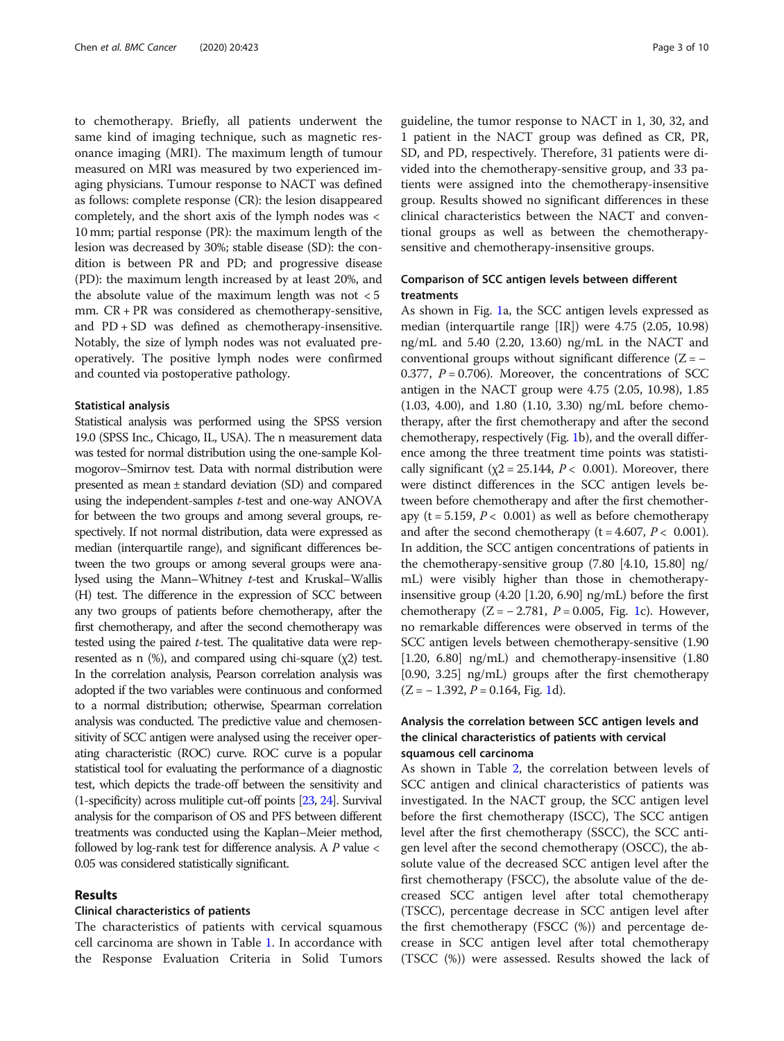to chemotherapy. Briefly, all patients underwent the same kind of imaging technique, such as magnetic resonance imaging (MRI). The maximum length of tumour measured on MRI was measured by two experienced imaging physicians. Tumour response to NACT was defined as follows: complete response (CR): the lesion disappeared completely, and the short axis of the lymph nodes was < 10 mm; partial response (PR): the maximum length of the lesion was decreased by 30%; stable disease (SD): the condition is between PR and PD; and progressive disease (PD): the maximum length increased by at least 20%, and the absolute value of the maximum length was not  $< 5$ mm. CR + PR was considered as chemotherapy-sensitive, and  $PD$  +  $SD$  was defined as chemotherapy-insensitive. Notably, the size of lymph nodes was not evaluated preoperatively. The positive lymph nodes were confirmed and counted via postoperative pathology.

### Statistical analysis

Statistical analysis was performed using the SPSS version 19.0 (SPSS Inc., Chicago, IL, USA). The n measurement data was tested for normal distribution using the one-sample Kolmogorov–Smirnov test. Data with normal distribution were presented as mean ± standard deviation (SD) and compared using the independent-samples t-test and one-way ANOVA for between the two groups and among several groups, respectively. If not normal distribution, data were expressed as median (interquartile range), and significant differences between the two groups or among several groups were analysed using the Mann–Whitney t-test and Kruskal–Wallis (H) test. The difference in the expression of SCC between any two groups of patients before chemotherapy, after the first chemotherapy, and after the second chemotherapy was tested using the paired t-test. The qualitative data were represented as n  $(\%)$ , and compared using chi-square  $(\chi 2)$  test. In the correlation analysis, Pearson correlation analysis was adopted if the two variables were continuous and conformed to a normal distribution; otherwise, Spearman correlation analysis was conducted. The predictive value and chemosensitivity of SCC antigen were analysed using the receiver operating characteristic (ROC) curve. ROC curve is a popular statistical tool for evaluating the performance of a diagnostic test, which depicts the trade-off between the sensitivity and (1-specificity) across mulitiple cut-off points [\[23,](#page-9-0) [24\]](#page-9-0). Survival analysis for the comparison of OS and PFS between different treatments was conducted using the Kaplan–Meier method, followed by log-rank test for difference analysis. A  $P$  value  $\lt$ 0.05 was considered statistically significant.

## Results

## Clinical characteristics of patients

The characteristics of patients with cervical squamous cell carcinoma are shown in Table [1.](#page-3-0) In accordance with the Response Evaluation Criteria in Solid Tumors guideline, the tumor response to NACT in 1, 30, 32, and 1 patient in the NACT group was defined as CR, PR, SD, and PD, respectively. Therefore, 31 patients were divided into the chemotherapy-sensitive group, and 33 patients were assigned into the chemotherapy-insensitive group. Results showed no significant differences in these clinical characteristics between the NACT and conventional groups as well as between the chemotherapysensitive and chemotherapy-insensitive groups.

## Comparison of SCC antigen levels between different treatments

As shown in Fig. [1](#page-3-0)a, the SCC antigen levels expressed as median (interquartile range [IR]) were 4.75 (2.05, 10.98) ng/mL and 5.40 (2.20, 13.60) ng/mL in the NACT and conventional groups without significant difference  $(Z = -$ 0.377,  $P = 0.706$ ). Moreover, the concentrations of SCC antigen in the NACT group were 4.75 (2.05, 10.98), 1.85 (1.03, 4.00), and 1.80 (1.10, 3.30) ng/mL before chemotherapy, after the first chemotherapy and after the second chemotherapy, respectively (Fig. [1b](#page-3-0)), and the overall difference among the three treatment time points was statistically significant ( $\chi$ 2 = 25.144,  $P < 0.001$ ). Moreover, there were distinct differences in the SCC antigen levels between before chemotherapy and after the first chemotherapy (t = 5.159,  $P < 0.001$ ) as well as before chemotherapy and after the second chemotherapy ( $t = 4.607$ ,  $P < 0.001$ ). In addition, the SCC antigen concentrations of patients in the chemotherapy-sensitive group (7.80 [4.10, 15.80] ng/ mL) were visibly higher than those in chemotherapyinsensitive group (4.20 [1.20, 6.90] ng/mL) before the first chemotherapy  $(Z = -2.781, P = 0.005, Fig. 1c)$  $(Z = -2.781, P = 0.005, Fig. 1c)$  $(Z = -2.781, P = 0.005, Fig. 1c)$ . However, no remarkable differences were observed in terms of the SCC antigen levels between chemotherapy-sensitive (1.90 [1.20, 6.80] ng/mL) and chemotherapy-insensitive (1.80 [0.90, 3.25] ng/mL) groups after the first chemotherapy  $(Z = -1.392, P = 0.164, Fig. 1d).$  $(Z = -1.392, P = 0.164, Fig. 1d).$  $(Z = -1.392, P = 0.164, Fig. 1d).$ 

## Analysis the correlation between SCC antigen levels and the clinical characteristics of patients with cervical squamous cell carcinoma

As shown in Table [2](#page-4-0), the correlation between levels of SCC antigen and clinical characteristics of patients was investigated. In the NACT group, the SCC antigen level before the first chemotherapy (ISCC), The SCC antigen level after the first chemotherapy (SSCC), the SCC antigen level after the second chemotherapy (OSCC), the absolute value of the decreased SCC antigen level after the first chemotherapy (FSCC), the absolute value of the decreased SCC antigen level after total chemotherapy (TSCC), percentage decrease in SCC antigen level after the first chemotherapy (FSCC (%)) and percentage decrease in SCC antigen level after total chemotherapy (TSCC (%)) were assessed. Results showed the lack of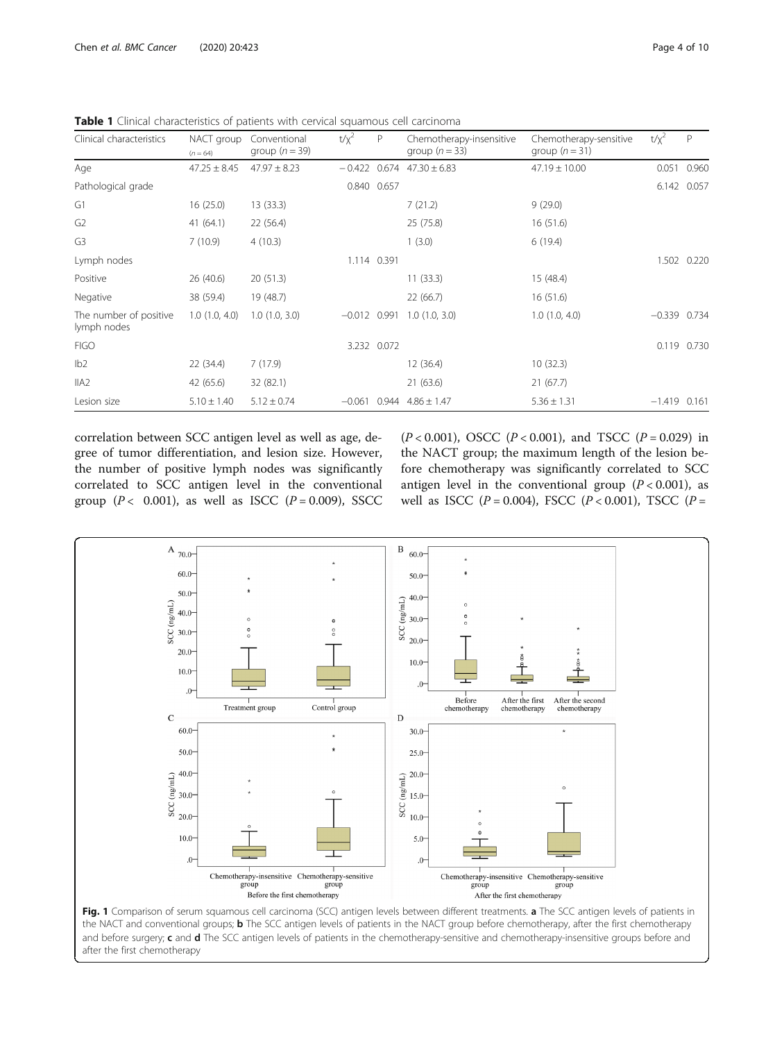| Clinical characteristics              | NACT group       | Conventional     | $t/x^2$        | P           | Chemotherapy-insensitive | Chemotherapy-sensitive | $t/x^2$        | P           |
|---------------------------------------|------------------|------------------|----------------|-------------|--------------------------|------------------------|----------------|-------------|
|                                       | $(n = 64)$       | group $(n = 39)$ |                |             | group $(n = 33)$         | group $(n = 31)$       |                |             |
| Age                                   | $47.25 \pm 8.45$ | $47.97 \pm 8.23$ | $-0.422$       | 0.674       | $47.30 \pm 6.83$         | $47.19 \pm 10.00$      | 0.051          | 0.960       |
| Pathological grade                    |                  |                  |                | 0.840 0.657 |                          |                        | 6.142 0.057    |             |
| G1                                    | 16(25.0)         | 13(33.3)         |                |             | 7(21.2)                  | 9(29.0)                |                |             |
| G2                                    | 41(64.1)         | 22 (56.4)        |                |             | 25 (75.8)                | 16(51.6)               |                |             |
| G3                                    | 7(10.9)          | 4(10.3)          |                |             | 1(3.0)                   | 6(19.4)                |                |             |
| Lymph nodes                           |                  |                  |                | 1.114 0.391 |                          |                        |                | 1.502 0.220 |
| Positive                              | 26(40.6)         | 20(51.3)         |                |             | 11(33.3)                 | 15 (48.4)              |                |             |
| Negative                              | 38 (59.4)        | 19 (48.7)        |                |             | 22(66.7)                 | 16(51.6)               |                |             |
| The number of positive<br>lymph nodes | 1.0(1.0, 4.0)    | 1.0(1.0, 3.0)    | $-0.012$ 0.991 |             | 1.0(1.0, 3.0)            | $1.0$ $(1.0, 4.0)$     | $-0.339$ 0.734 |             |
| <b>FIGO</b>                           |                  |                  |                | 3.232 0.072 |                          |                        | 0.119 0.730    |             |
| lb2                                   | 22(34.4)         | 7(17.9)          |                |             | 12 (36.4)                | 10(32.3)               |                |             |
| IIA2                                  | 42 (65.6)        | 32 (82.1)        |                |             | 21(63.6)                 | 21(67.7)               |                |             |
| Lesion size                           | $5.10 \pm 1.40$  | $5.12 \pm 0.74$  | $-0.061$       |             | $0.944$ $4.86 \pm 1.47$  | $5.36 \pm 1.31$        | $-1.419$ 0.161 |             |

<span id="page-3-0"></span>Table 1 Clinical characteristics of patients with cervical squamous cell carcinoma

correlation between SCC antigen level as well as age, degree of tumor differentiation, and lesion size. However, the number of positive lymph nodes was significantly correlated to SCC antigen level in the conventional group  $(P < 0.001)$ , as well as ISCC  $(P = 0.009)$ , SSCC

 $(P < 0.001)$ , OSCC  $(P < 0.001)$ , and TSCC  $(P = 0.029)$  in the NACT group; the maximum length of the lesion before chemotherapy was significantly correlated to SCC antigen level in the conventional group  $(P < 0.001)$ , as well as ISCC ( $P = 0.004$ ), FSCC ( $P < 0.001$ ), TSCC ( $P =$ 



the NACT and conventional groups; **b** The SCC antigen levels of patients in the NACT group before chemotherapy, after the first chemotherapy and before surgery;  $c$  and  $d$  The SCC antigen levels of patients in the chemotherapy-sensitive and chemotherapy-insensitive groups before and after the first chemotherapy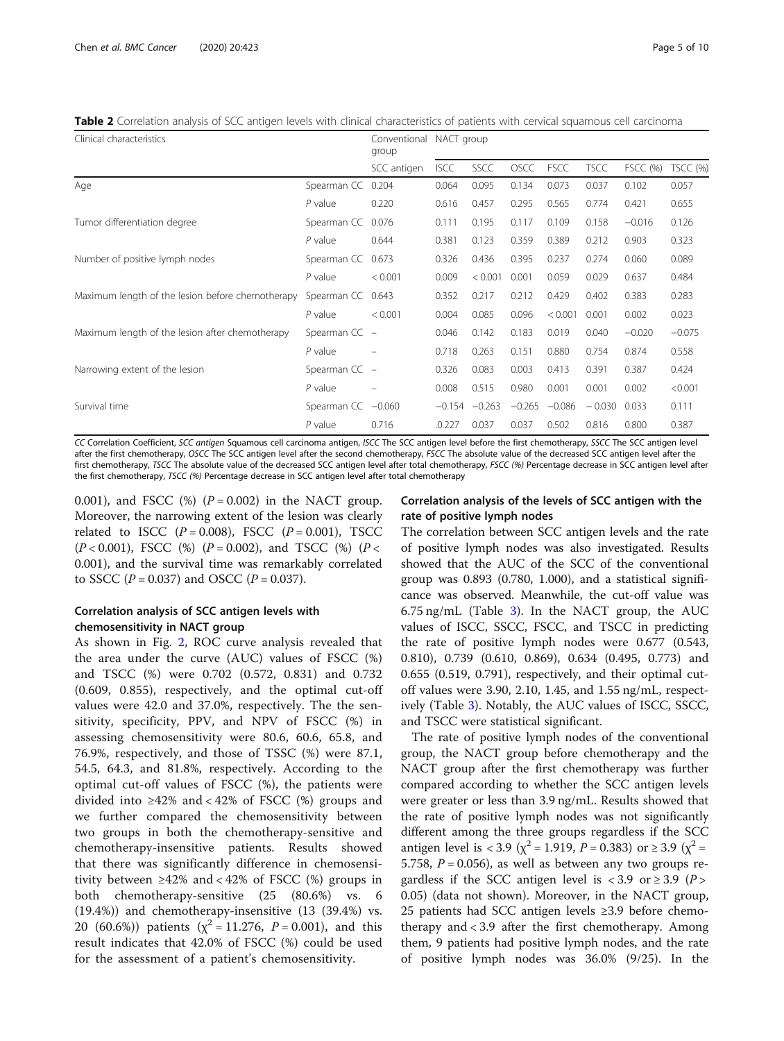<span id="page-4-0"></span>Table 2 Correlation analysis of SCC antigen levels with clinical characteristics of patients with cervical squamous cell carcinoma

| Clinical characteristics                         |                 | Conventional<br>group | NACT group  |          |             |             |             |                 |          |
|--------------------------------------------------|-----------------|-----------------------|-------------|----------|-------------|-------------|-------------|-----------------|----------|
|                                                  |                 | SCC antigen           | <b>ISCC</b> | SSCC     | <b>OSCC</b> | <b>FSCC</b> | <b>TSCC</b> | <b>FSCC (%)</b> | TSCC (%) |
| Age                                              | Spearman CC     | 0.204                 | 0.064       | 0.095    | 0.134       | 0.073       | 0.037       | 0.102           | 0.057    |
|                                                  | $P$ value       | 0.220                 | 0.616       | 0.457    | 0.295       | 0.565       | 0.774       | 0.421           | 0.655    |
| Tumor differentiation degree                     | Spearman CC     | 0.076                 | 0.111       | 0.195    | 0.117       | 0.109       | 0.158       | $-0.016$        | 0.126    |
|                                                  | $P$ value       | 0.644                 | 0.381       | 0.123    | 0.359       | 0.389       | 0.212       | 0.903           | 0.323    |
| Number of positive lymph nodes                   | Spearman CC     | 0.673                 | 0.326       | 0.436    | 0.395       | 0.237       | 0.274       | 0.060           | 0.089    |
|                                                  | $P$ value       | < 0.001               | 0.009       | < 0.001  | 0.001       | 0.059       | 0.029       | 0.637           | 0.484    |
| Maximum length of the lesion before chemotherapy | Spearman CC     | 0.643                 | 0.352       | 0.217    | 0.212       | 0.429       | 0.402       | 0.383           | 0.283    |
|                                                  | $P$ value       | < 0.001               | 0.004       | 0.085    | 0.096       | < 0.001     | 0.001       | 0.002           | 0.023    |
| Maximum length of the lesion after chemotherapy  | Spearman $CC -$ |                       | 0.046       | 0.142    | 0.183       | 0.019       | 0.040       | $-0.020$        | $-0.075$ |
|                                                  | $P$ value       |                       | 0.718       | 0.263    | 0.151       | 0.880       | 0.754       | 0.874           | 0.558    |
| Narrowing extent of the lesion                   | Spearman $CC -$ |                       | 0.326       | 0.083    | 0.003       | 0.413       | 0.391       | 0.387           | 0.424    |
|                                                  | $P$ value       |                       | 0.008       | 0.515    | 0.980       | 0.001       | 0.001       | 0.002           | < 0.001  |
| Survival time                                    | Spearman CC     | $-0.060$              | $-0.154$    | $-0.263$ | $-0.265$    | $-0.086$    | $-0.030$    | 0.033           | 0.111    |
|                                                  | $P$ value       | 0.716                 | .0.227      | 0.037    | 0.037       | 0.502       | 0.816       | 0.800           | 0.387    |

CC Correlation Coefficient, SCC antigen Squamous cell carcinoma antigen, ISCC The SCC antigen level before the first chemotherapy, SSCC The SCC antigen level after the first chemotherapy, OSCC The SCC antigen level after the second chemotherapy, FSCC The absolute value of the decreased SCC antigen level after the first chemotherapy, TSCC The absolute value of the decreased SCC antigen level after total chemotherapy, FSCC (%) Percentage decrease in SCC antigen level after the first chemotherapy, TSCC (%) Percentage decrease in SCC antigen level after total chemotherapy

0.001), and FSCC  $(\%)$   $(P = 0.002)$  in the NACT group. Moreover, the narrowing extent of the lesion was clearly related to ISCC  $(P = 0.008)$ , FSCC  $(P = 0.001)$ , TSCC  $(P < 0.001)$ , FSCC  $(\%)$   $(P = 0.002)$ , and TSCC  $(\%)$   $(P <$ 0.001), and the survival time was remarkably correlated to SSCC ( $P = 0.037$ ) and OSCC ( $P = 0.037$ ).

## Correlation analysis of SCC antigen levels with chemosensitivity in NACT group

As shown in Fig. [2](#page-5-0), ROC curve analysis revealed that the area under the curve (AUC) values of FSCC (%) and TSCC (%) were 0.702 (0.572, 0.831) and 0.732 (0.609, 0.855), respectively, and the optimal cut-off values were 42.0 and 37.0%, respectively. The the sensitivity, specificity, PPV, and NPV of FSCC (%) in assessing chemosensitivity were 80.6, 60.6, 65.8, and 76.9%, respectively, and those of TSSC (%) were 87.1, 54.5, 64.3, and 81.8%, respectively. According to the optimal cut-off values of FSCC (%), the patients were divided into ≥42% and < 42% of FSCC  $(\%)$  groups and we further compared the chemosensitivity between two groups in both the chemotherapy-sensitive and chemotherapy-insensitive patients. Results showed that there was significantly difference in chemosensitivity between ≥42% and < 42% of FSCC  $%$  groups in both chemotherapy-sensitive (25 (80.6%) vs. 6 (19.4%)) and chemotherapy-insensitive (13 (39.4%) vs. 20 (60.6%)) patients ( $\chi^2$  = 11.276, *P* = 0.001), and this result indicates that 42.0% of FSCC (%) could be used for the assessment of a patient's chemosensitivity.

## Correlation analysis of the levels of SCC antigen with the rate of positive lymph nodes

The correlation between SCC antigen levels and the rate of positive lymph nodes was also investigated. Results showed that the AUC of the SCC of the conventional group was 0.893 (0.780, 1.000), and a statistical significance was observed. Meanwhile, the cut-off value was 6.75 ng/mL (Table [3\)](#page-5-0). In the NACT group, the AUC values of ISCC, SSCC, FSCC, and TSCC in predicting the rate of positive lymph nodes were 0.677 (0.543, 0.810), 0.739 (0.610, 0.869), 0.634 (0.495, 0.773) and 0.655 (0.519, 0.791), respectively, and their optimal cutoff values were 3.90, 2.10, 1.45, and 1.55 ng/mL, respectively (Table [3\)](#page-5-0). Notably, the AUC values of ISCC, SSCC, and TSCC were statistical significant.

The rate of positive lymph nodes of the conventional group, the NACT group before chemotherapy and the NACT group after the first chemotherapy was further compared according to whether the SCC antigen levels were greater or less than 3.9 ng/mL. Results showed that the rate of positive lymph nodes was not significantly different among the three groups regardless if the SCC antigen level is < 3.9 ( $\chi^2$  = 1.919, P = 0.383) or  $\geq$  3.9 ( $\chi^2$  = 5.758,  $P = 0.056$ ), as well as between any two groups regardless if the SCC antigen level is <3.9 or  $\geq$  3.9 (P > 0.05) (data not shown). Moreover, in the NACT group, 25 patients had SCC antigen levels ≥3.9 before chemotherapy and < 3.9 after the first chemotherapy. Among them, 9 patients had positive lymph nodes, and the rate of positive lymph nodes was 36.0% (9/25). In the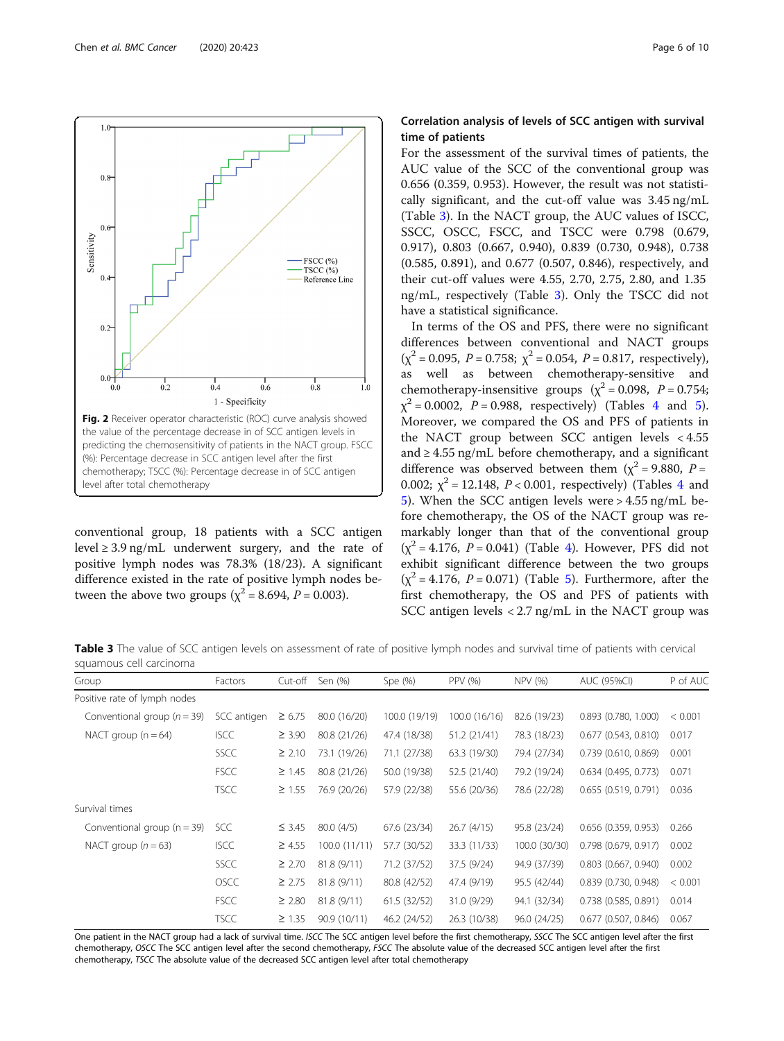<span id="page-5-0"></span>

conventional group, 18 patients with a SCC antigen level  $\geq$  3.9 ng/mL underwent surgery, and the rate of positive lymph nodes was 78.3% (18/23). A significant difference existed in the rate of positive lymph nodes between the above two groups ( $\chi^2$  = 8.694, *P* = 0.003).

## Correlation analysis of levels of SCC antigen with survival time of patients

For the assessment of the survival times of patients, the AUC value of the SCC of the conventional group was 0.656 (0.359, 0.953). However, the result was not statistically significant, and the cut-off value was 3.45 ng/mL (Table 3). In the NACT group, the AUC values of ISCC, SSCC, OSCC, FSCC, and TSCC were 0.798 (0.679, 0.917), 0.803 (0.667, 0.940), 0.839 (0.730, 0.948), 0.738 (0.585, 0.891), and 0.677 (0.507, 0.846), respectively, and their cut-off values were 4.55, 2.70, 2.75, 2.80, and 1.35 ng/mL, respectively (Table 3). Only the TSCC did not have a statistical significance.

In terms of the OS and PFS, there were no significant differences between conventional and NACT groups  $(\chi^2 = 0.095, P = 0.758; \chi^2 = 0.054, P = 0.817, respectively)$ , as well as between chemotherapy-sensitive and chemotherapy-insensitive groups ( $\chi^2$  = 0.098, P = 0.754;  $x^{2} = 0.0002$ ,  $P = 0.988$ , respectively) (Tables [4](#page-6-0) and [5](#page-7-0)). Moreover, we compared the OS and PFS of patients in the NACT group between SCC antigen levels < 4.55 and  $\geq$  4.55 ng/mL before chemotherapy, and a significant difference was observed between them ( $\chi^2$  = 9.880, P = 0.002;  $\chi^2$  = 12.1[4](#page-6-0)8, *P* < 0.001, respectively) (Tables 4 and [5\)](#page-7-0). When the SCC antigen levels were > 4.55 ng/mL before chemotherapy, the OS of the NACT group was remarkably longer than that of the conventional group  $(x^2 = 4.176, P = 0.041)$  $(x^2 = 4.176, P = 0.041)$  $(x^2 = 4.176, P = 0.041)$  (Table 4). However, PFS did not exhibit significant difference between the two groups  $(\chi^2 = 4.176, P = 0.071)$  (Table [5](#page-7-0)). Furthermore, after the first chemotherapy, the OS and PFS of patients with SCC antigen levels < 2.7 ng/mL in the NACT group was

Table 3 The value of SCC antigen levels on assessment of rate of positive lymph nodes and survival time of patients with cervical squamous cell carcinoma

| Group                           | Factors     | Cut-off     | Sen (%)      | Spe $(%)$     | <b>PPV (%)</b> | NPV (%)       | AUC (95%CI)              | P of AUC |
|---------------------------------|-------------|-------------|--------------|---------------|----------------|---------------|--------------------------|----------|
| Positive rate of lymph nodes    |             |             |              |               |                |               |                          |          |
| Conventional group ( $n = 39$ ) | SCC antigen | $\geq 6.75$ | 80.0 (16/20) | 100.0 (19/19) | 100.0 (16/16)  | 82.6 (19/23)  | 0.893 (0.780, 1.000)     | < 0.001  |
| NACT group $(n = 64)$           | <b>ISCC</b> | $\geq 3.90$ | 80.8 (21/26) | 47.4 (18/38)  | 51.2 (21/41)   | 78.3 (18/23)  | $0.677$ $(0.543, 0.810)$ | 0.017    |
|                                 | <b>SSCC</b> | $\geq 2.10$ | 73.1 (19/26) | 71.1 (27/38)  | 63.3 (19/30)   | 79.4 (27/34)  | $0.739$ (0.610, 0.869)   | 0.001    |
|                                 | <b>FSCC</b> | $\geq 1.45$ | 80.8 (21/26) | 50.0 (19/38)  | 52.5 (21/40)   | 79.2 (19/24)  | $0.634$ (0.495, 0.773)   | 0.071    |
|                                 | <b>TSCC</b> | $\geq 1.55$ | 76.9 (20/26) | 57.9 (22/38)  | 55.6 (20/36)   | 78.6 (22/28)  | 0.655(0.519, 0.791)      | 0.036    |
| Survival times                  |             |             |              |               |                |               |                          |          |
| Conventional group $(n = 39)$   | SCC         | $\leq$ 3.45 | 80.0(4/5)    | 67.6 (23/34)  | 26.7(4/15)     | 95.8 (23/24)  | 0.656 (0.359, 0.953)     | 0.266    |
| NACT group $(n = 63)$           | <b>ISCC</b> | $\geq 4.55$ | 100.0(11/11) | 57.7 (30/52)  | 33.3 (11/33)   | 100.0 (30/30) | $0.798$ $(0.679, 0.917)$ | 0.002    |
|                                 | <b>SSCC</b> | $\geq 2.70$ | 81.8(9/11)   | 71.2 (37/52)  | 37.5 (9/24)    | 94.9 (37/39)  | $0.803$ $(0.667, 0.940)$ | 0.002    |
|                                 | <b>OSCC</b> | $\geq 2.75$ | 81.8(9/11)   | 80.8 (42/52)  | 47.4 (9/19)    | 95.5 (42/44)  | $0.839$ (0.730, 0.948)   | < 0.001  |
|                                 | <b>FSCC</b> | $\geq 2.80$ | 81.8(9/11)   | 61.5 (32/52)  | 31.0 (9/29)    | 94.1 (32/34)  | $0.738$ (0.585, 0.891)   | 0.014    |
|                                 | <b>TSCC</b> | $\geq 1.35$ | 90.9 (10/11) | 46.2 (24/52)  | 26.3 (10/38)   | 96.0 (24/25)  | $0.677$ (0.507, 0.846)   | 0.067    |

One patient in the NACT group had a lack of survival time. ISCC The SCC antigen level before the first chemotherapy, SSCC The SCC antigen level after the first chemotherapy, OSCC The SCC antigen level after the second chemotherapy, FSCC The absolute value of the decreased SCC antigen level after the first chemotherapy, TSCC The absolute value of the decreased SCC antigen level after total chemotherapy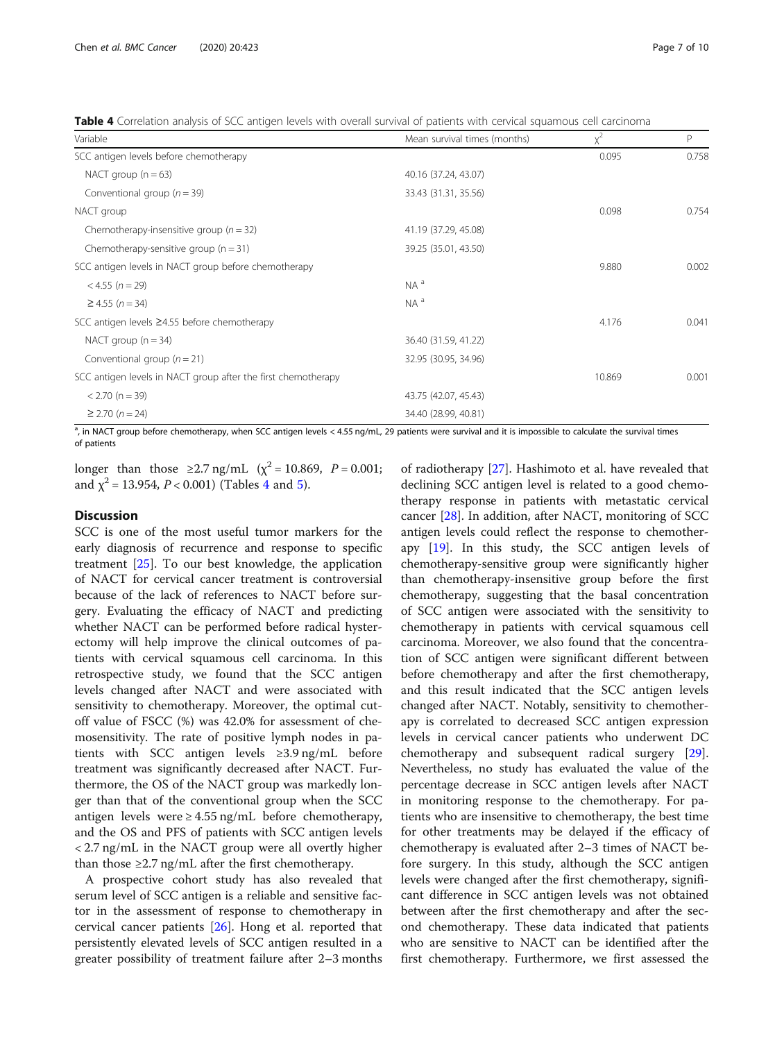<span id="page-6-0"></span>Table 4 Correlation analysis of SCC antigen levels with overall survival of patients with cervical squamous cell carcinoma

| Variable                                                      | Mean survival times (months) | $x^2$  | P     |
|---------------------------------------------------------------|------------------------------|--------|-------|
| SCC antigen levels before chemotherapy                        |                              | 0.095  | 0.758 |
| NACT group $(n = 63)$                                         | 40.16 (37.24, 43.07)         |        |       |
| Conventional group ( $n = 39$ )                               | 33.43 (31.31, 35.56)         |        |       |
| NACT group                                                    |                              | 0.098  | 0.754 |
| Chemotherapy-insensitive group ( $n = 32$ )                   | 41.19 (37.29, 45.08)         |        |       |
| Chemotherapy-sensitive group $(n = 31)$                       | 39.25 (35.01, 43.50)         |        |       |
| SCC antigen levels in NACT group before chemotherapy          |                              | 9.880  | 0.002 |
| $<$ 4.55 (n = 29)                                             | $NA^a$                       |        |       |
| $≥$ 4.55 ( <i>n</i> = 34)                                     | $NA^a$                       |        |       |
| SCC antigen levels ≥4.55 before chemotherapy                  |                              | 4.176  | 0.041 |
| NACT group $(n = 34)$                                         | 36.40 (31.59, 41.22)         |        |       |
| Conventional group ( $n = 21$ )                               | 32.95 (30.95, 34.96)         |        |       |
| SCC antigen levels in NACT group after the first chemotherapy |                              | 10.869 | 0.001 |
| $< 2.70$ (n = 39)                                             | 43.75 (42.07, 45.43)         |        |       |
| $\geq$ 2.70 (n = 24)                                          | 34.40 (28.99, 40.81)         |        |       |

<sup>a</sup>, in NACT group before chemotherapy, when SCC antigen levels < 4.55 ng/mL, 29 patients were survival and it is impossible to calculate the survival times of patients

longer than those  $\geq 2.7$  ng/mL ( $\chi^2 = 10.869$ ,  $P = 0.001$ ; and  $\chi^2$  = 13.954, *P* < 0.001) (Tables 4 and [5\)](#page-7-0).

## **Discussion**

SCC is one of the most useful tumor markers for the early diagnosis of recurrence and response to specific treatment [\[25\]](#page-9-0). To our best knowledge, the application of NACT for cervical cancer treatment is controversial because of the lack of references to NACT before surgery. Evaluating the efficacy of NACT and predicting whether NACT can be performed before radical hysterectomy will help improve the clinical outcomes of patients with cervical squamous cell carcinoma. In this retrospective study, we found that the SCC antigen levels changed after NACT and were associated with sensitivity to chemotherapy. Moreover, the optimal cutoff value of FSCC (%) was 42.0% for assessment of chemosensitivity. The rate of positive lymph nodes in patients with SCC antigen levels ≥3.9 ng/mL before treatment was significantly decreased after NACT. Furthermore, the OS of the NACT group was markedly longer than that of the conventional group when the SCC antigen levels were ≥ 4.55 ng/mL before chemotherapy, and the OS and PFS of patients with SCC antigen levels < 2.7 ng/mL in the NACT group were all overtly higher than those  $\geq$  2.7 ng/mL after the first chemotherapy.

A prospective cohort study has also revealed that serum level of SCC antigen is a reliable and sensitive factor in the assessment of response to chemotherapy in cervical cancer patients [[26\]](#page-9-0). Hong et al. reported that persistently elevated levels of SCC antigen resulted in a greater possibility of treatment failure after 2–3 months

of radiotherapy [[27\]](#page-9-0). Hashimoto et al. have revealed that declining SCC antigen level is related to a good chemotherapy response in patients with metastatic cervical cancer [[28](#page-9-0)]. In addition, after NACT, monitoring of SCC antigen levels could reflect the response to chemotherapy [[19\]](#page-8-0). In this study, the SCC antigen levels of chemotherapy-sensitive group were significantly higher than chemotherapy-insensitive group before the first chemotherapy, suggesting that the basal concentration of SCC antigen were associated with the sensitivity to chemotherapy in patients with cervical squamous cell carcinoma. Moreover, we also found that the concentration of SCC antigen were significant different between before chemotherapy and after the first chemotherapy, and this result indicated that the SCC antigen levels changed after NACT. Notably, sensitivity to chemotherapy is correlated to decreased SCC antigen expression levels in cervical cancer patients who underwent DC chemotherapy and subsequent radical surgery [\[29](#page-9-0)]. Nevertheless, no study has evaluated the value of the percentage decrease in SCC antigen levels after NACT in monitoring response to the chemotherapy. For patients who are insensitive to chemotherapy, the best time for other treatments may be delayed if the efficacy of chemotherapy is evaluated after 2–3 times of NACT before surgery. In this study, although the SCC antigen levels were changed after the first chemotherapy, significant difference in SCC antigen levels was not obtained between after the first chemotherapy and after the second chemotherapy. These data indicated that patients who are sensitive to NACT can be identified after the first chemotherapy. Furthermore, we first assessed the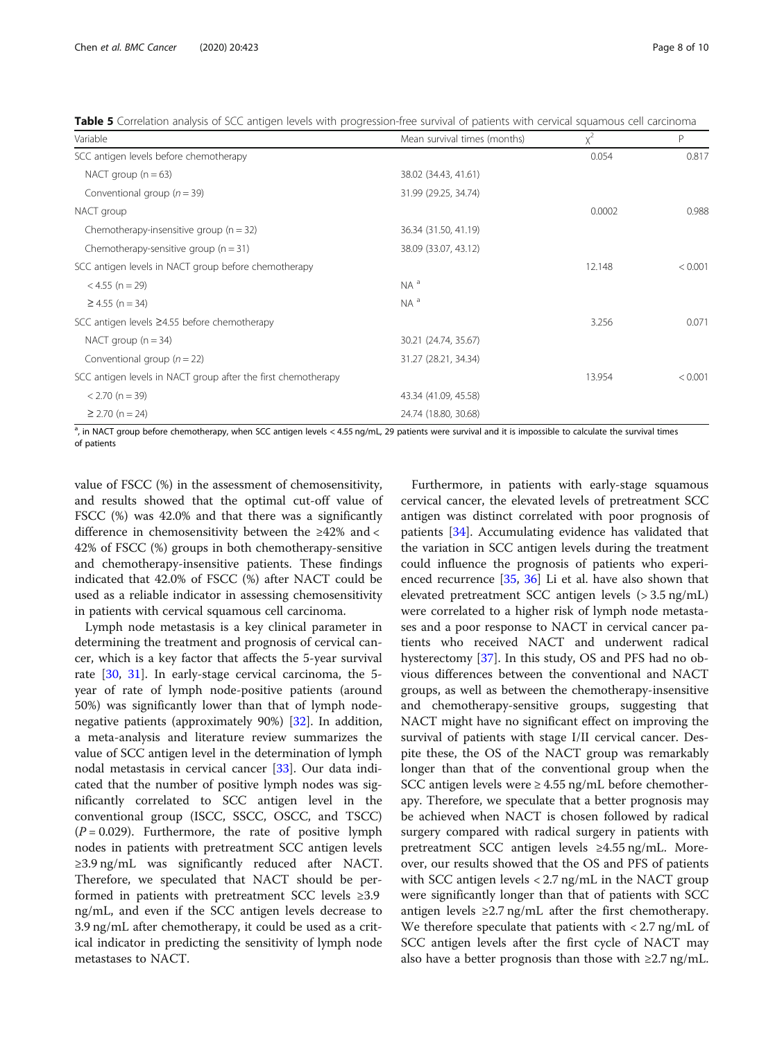<span id="page-7-0"></span>Table 5 Correlation analysis of SCC antigen levels with progression-free survival of patients with cervical squamous cell carcinoma

| Variable                                                      | Mean survival times (months) | $x^2$  | P       |
|---------------------------------------------------------------|------------------------------|--------|---------|
| SCC antigen levels before chemotherapy                        |                              | 0.054  | 0.817   |
| NACT group $(n = 63)$                                         | 38.02 (34.43, 41.61)         |        |         |
| Conventional group ( $n = 39$ )                               | 31.99 (29.25, 34.74)         |        |         |
| NACT group                                                    |                              | 0.0002 | 0.988   |
| Chemotherapy-insensitive group $(n = 32)$                     | 36.34 (31.50, 41.19)         |        |         |
| Chemotherapy-sensitive group $(n = 31)$                       | 38.09 (33.07, 43.12)         |        |         |
| SCC antigen levels in NACT group before chemotherapy          |                              | 12.148 | < 0.001 |
| $< 4.55$ (n = 29)                                             | $NA^a$                       |        |         |
| $\geq$ 4.55 (n = 34)                                          | $NA^a$                       |        |         |
| SCC antigen levels ≥4.55 before chemotherapy                  |                              | 3.256  | 0.071   |
| NACT group $(n = 34)$                                         | 30.21 (24.74, 35.67)         |        |         |
| Conventional group ( $n = 22$ )                               | 31.27 (28.21, 34.34)         |        |         |
| SCC antigen levels in NACT group after the first chemotherapy |                              | 13.954 | < 0.001 |
| $< 2.70$ (n = 39)                                             | 43.34 (41.09, 45.58)         |        |         |
| $\geq$ 2.70 (n = 24)                                          | 24.74 (18.80, 30.68)         |        |         |

<sup>a</sup>, in NACT group before chemotherapy, when SCC antigen levels < 4.55 ng/mL, 29 patients were survival and it is impossible to calculate the survival times of patients

value of FSCC (%) in the assessment of chemosensitivity, and results showed that the optimal cut-off value of FSCC (%) was 42.0% and that there was a significantly difference in chemosensitivity between the ≥42% and < 42% of FSCC (%) groups in both chemotherapy-sensitive and chemotherapy-insensitive patients. These findings indicated that 42.0% of FSCC (%) after NACT could be used as a reliable indicator in assessing chemosensitivity in patients with cervical squamous cell carcinoma.

Lymph node metastasis is a key clinical parameter in determining the treatment and prognosis of cervical cancer, which is a key factor that affects the 5-year survival rate [\[30](#page-9-0), [31\]](#page-9-0). In early-stage cervical carcinoma, the 5 year of rate of lymph node-positive patients (around 50%) was significantly lower than that of lymph nodenegative patients (approximately 90%) [[32\]](#page-9-0). In addition, a meta-analysis and literature review summarizes the value of SCC antigen level in the determination of lymph nodal metastasis in cervical cancer [\[33\]](#page-9-0). Our data indicated that the number of positive lymph nodes was significantly correlated to SCC antigen level in the conventional group (ISCC, SSCC, OSCC, and TSCC)  $(P = 0.029)$ . Furthermore, the rate of positive lymph nodes in patients with pretreatment SCC antigen levels ≥3.9 ng/mL was significantly reduced after NACT. Therefore, we speculated that NACT should be performed in patients with pretreatment SCC levels ≥3.9 ng/mL, and even if the SCC antigen levels decrease to 3.9 ng/mL after chemotherapy, it could be used as a critical indicator in predicting the sensitivity of lymph node metastases to NACT.

Furthermore, in patients with early-stage squamous cervical cancer, the elevated levels of pretreatment SCC antigen was distinct correlated with poor prognosis of patients [\[34\]](#page-9-0). Accumulating evidence has validated that the variation in SCC antigen levels during the treatment could influence the prognosis of patients who experienced recurrence [[35,](#page-9-0) [36](#page-9-0)] Li et al. have also shown that elevated pretreatment SCC antigen levels (> 3.5 ng/mL) were correlated to a higher risk of lymph node metastases and a poor response to NACT in cervical cancer patients who received NACT and underwent radical hysterectomy [\[37](#page-9-0)]. In this study, OS and PFS had no obvious differences between the conventional and NACT groups, as well as between the chemotherapy-insensitive and chemotherapy-sensitive groups, suggesting that NACT might have no significant effect on improving the survival of patients with stage I/II cervical cancer. Despite these, the OS of the NACT group was remarkably longer than that of the conventional group when the SCC antigen levels were  $\geq 4.55$  ng/mL before chemotherapy. Therefore, we speculate that a better prognosis may be achieved when NACT is chosen followed by radical surgery compared with radical surgery in patients with pretreatment SCC antigen levels ≥4.55 ng/mL. Moreover, our results showed that the OS and PFS of patients with SCC antigen levels < 2.7 ng/mL in the NACT group were significantly longer than that of patients with SCC antigen levels  $\geq 2.7$  ng/mL after the first chemotherapy. We therefore speculate that patients with  $\langle 2.7 \text{ ng/mL of } \rangle$ SCC antigen levels after the first cycle of NACT may also have a better prognosis than those with ≥2.7 ng/mL.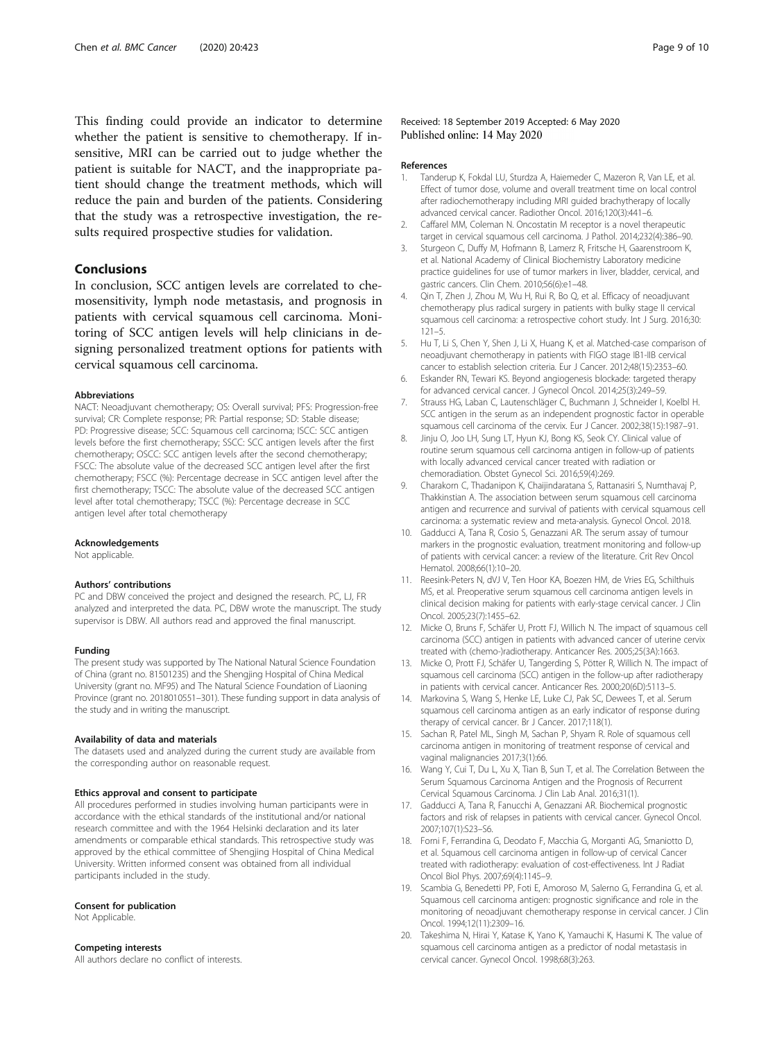<span id="page-8-0"></span>This finding could provide an indicator to determine whether the patient is sensitive to chemotherapy. If insensitive, MRI can be carried out to judge whether the patient is suitable for NACT, and the inappropriate patient should change the treatment methods, which will reduce the pain and burden of the patients. Considering that the study was a retrospective investigation, the results required prospective studies for validation.

## Conclusions

In conclusion, SCC antigen levels are correlated to chemosensitivity, lymph node metastasis, and prognosis in patients with cervical squamous cell carcinoma. Monitoring of SCC antigen levels will help clinicians in designing personalized treatment options for patients with cervical squamous cell carcinoma.

#### Abbreviations

NACT: Neoadjuvant chemotherapy; OS: Overall survival; PFS: Progression-free survival; CR: Complete response; PR: Partial response; SD: Stable disease; PD: Progressive disease; SCC: Squamous cell carcinoma; ISCC: SCC antigen levels before the first chemotherapy; SSCC: SCC antigen levels after the first chemotherapy; OSCC: SCC antigen levels after the second chemotherapy; FSCC: The absolute value of the decreased SCC antigen level after the first chemotherapy; FSCC (%): Percentage decrease in SCC antigen level after the first chemotherapy; TSCC: The absolute value of the decreased SCC antigen level after total chemotherapy; TSCC (%): Percentage decrease in SCC antigen level after total chemotherapy

#### Acknowledgements

Not applicable.

#### Authors' contributions

PC and DBW conceived the project and designed the research. PC, LJ, FR analyzed and interpreted the data. PC, DBW wrote the manuscript. The study supervisor is DBW. All authors read and approved the final manuscript.

#### Funding

The present study was supported by The National Natural Science Foundation of China (grant no. 81501235) and the Shengjing Hospital of China Medical University (grant no. MF95) and The Natural Science Foundation of Liaoning Province (grant no. 2018010551–301). These funding support in data analysis of the study and in writing the manuscript.

#### Availability of data and materials

The datasets used and analyzed during the current study are available from the corresponding author on reasonable request.

#### Ethics approval and consent to participate

All procedures performed in studies involving human participants were in accordance with the ethical standards of the institutional and/or national research committee and with the 1964 Helsinki declaration and its later amendments or comparable ethical standards. This retrospective study was approved by the ethical committee of Shengjing Hospital of China Medical University. Written informed consent was obtained from all individual participants included in the study.

#### Consent for publication

Not Applicable.

#### Competing interests

All authors declare no conflict of interests.

## Received: 18 September 2019 Accepted: 6 May 2020 Published online: 14 May 2020

#### References

- 1. Tanderup K, Fokdal LU, Sturdza A, Haiemeder C, Mazeron R, Van LE, et al. Effect of tumor dose, volume and overall treatment time on local control after radiochemotherapy including MRI guided brachytherapy of locally advanced cervical cancer. Radiother Oncol. 2016;120(3):441–6.
- 2. Caffarel MM, Coleman N. Oncostatin M receptor is a novel therapeutic target in cervical squamous cell carcinoma. J Pathol. 2014;232(4):386–90.
- 3. Sturgeon C, Duffy M, Hofmann B, Lamerz R, Fritsche H, Gaarenstroom K, et al. National Academy of Clinical Biochemistry Laboratory medicine practice guidelines for use of tumor markers in liver, bladder, cervical, and gastric cancers. Clin Chem. 2010;56(6):e1–48.
- 4. Qin T, Zhen J, Zhou M, Wu H, Rui R, Bo Q, et al. Efficacy of neoadjuvant chemotherapy plus radical surgery in patients with bulky stage II cervical squamous cell carcinoma: a retrospective cohort study. Int J Surg. 2016;30: 121–5.
- 5. Hu T, Li S, Chen Y, Shen J, Li X, Huang K, et al. Matched-case comparison of neoadjuvant chemotherapy in patients with FIGO stage IB1-IIB cervical cancer to establish selection criteria. Eur J Cancer. 2012;48(15):2353–60.
- 6. Eskander RN, Tewari KS. Beyond angiogenesis blockade: targeted therapy for advanced cervical cancer. J Gynecol Oncol. 2014;25(3):249–59.
- 7. Strauss HG, Laban C, Lautenschläger C, Buchmann J, Schneider I, Koelbl H. SCC antigen in the serum as an independent prognostic factor in operable squamous cell carcinoma of the cervix. Eur J Cancer. 2002;38(15):1987–91.
- 8. Jinju O, Joo LH, Sung LT, Hyun KJ, Bong KS, Seok CY, Clinical value of routine serum squamous cell carcinoma antigen in follow-up of patients with locally advanced cervical cancer treated with radiation or chemoradiation. Obstet Gynecol Sci. 2016;59(4):269.
- 9. Charakorn C, Thadanipon K, Chaijindaratana S, Rattanasiri S, Numthavaj P, Thakkinstian A. The association between serum squamous cell carcinoma antigen and recurrence and survival of patients with cervical squamous cell carcinoma: a systematic review and meta-analysis. Gynecol Oncol. 2018.
- 10. Gadducci A, Tana R, Cosio S, Genazzani AR. The serum assay of tumour markers in the prognostic evaluation, treatment monitoring and follow-up of patients with cervical cancer: a review of the literature. Crit Rev Oncol Hematol. 2008;66(1):10–20.
- 11. Reesink-Peters N, dVJ V, Ten Hoor KA, Boezen HM, de Vries EG, Schilthuis MS, et al. Preoperative serum squamous cell carcinoma antigen levels in clinical decision making for patients with early-stage cervical cancer. J Clin Oncol. 2005;23(7):1455–62.
- 12. Micke O, Bruns F, Schäfer U, Prott FJ, Willich N. The impact of squamous cell carcinoma (SCC) antigen in patients with advanced cancer of uterine cervix treated with (chemo-)radiotherapy. Anticancer Res. 2005;25(3A):1663.
- 13. Micke O, Prott FJ, Schäfer U, Tangerding S, Pötter R, Willich N. The impact of squamous cell carcinoma (SCC) antigen in the follow-up after radiotherapy in patients with cervical cancer. Anticancer Res. 2000;20(6D):5113–5.
- 14. Markovina S, Wang S, Henke LE, Luke CJ, Pak SC, Dewees T, et al. Serum squamous cell carcinoma antigen as an early indicator of response during therapy of cervical cancer. Br J Cancer. 2017;118(1).
- 15. Sachan R, Patel ML, Singh M, Sachan P, Shyam R. Role of squamous cell carcinoma antigen in monitoring of treatment response of cervical and vaginal malignancies 2017;3(1):66.
- 16. Wang Y, Cui T, Du L, Xu X, Tian B, Sun T, et al. The Correlation Between the Serum Squamous Carcinoma Antigen and the Prognosis of Recurrent Cervical Squamous Carcinoma. J Clin Lab Anal. 2016;31(1).
- 17. Gadducci A, Tana R, Fanucchi A, Genazzani AR. Biochemical prognostic factors and risk of relapses in patients with cervical cancer. Gynecol Oncol. 2007;107(1):S23–S6.
- 18. Forni F, Ferrandina G, Deodato F, Macchia G, Morganti AG, Smaniotto D, et al. Squamous cell carcinoma antigen in follow-up of cervical Cancer treated with radiotherapy: evaluation of cost-effectiveness. Int J Radiat Oncol Biol Phys. 2007;69(4):1145–9.
- 19. Scambia G, Benedetti PP, Foti E, Amoroso M, Salerno G, Ferrandina G, et al. Squamous cell carcinoma antigen: prognostic significance and role in the monitoring of neoadjuvant chemotherapy response in cervical cancer. J Clin Oncol. 1994;12(11):2309–16.
- 20. Takeshima N, Hirai Y, Katase K, Yano K, Yamauchi K, Hasumi K. The value of squamous cell carcinoma antigen as a predictor of nodal metastasis in cervical cancer. Gynecol Oncol. 1998;68(3):263.